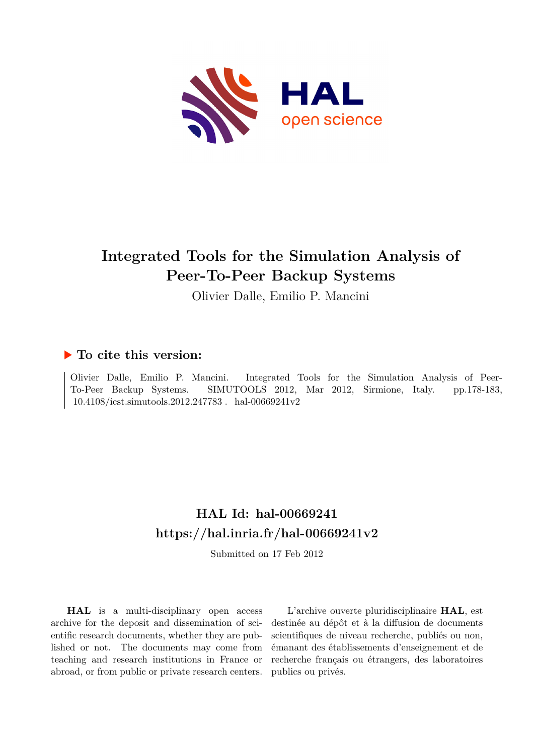

# **Integrated Tools for the Simulation Analysis of Peer-To-Peer Backup Systems**

Olivier Dalle, Emilio P. Mancini

# **To cite this version:**

Olivier Dalle, Emilio P. Mancini. Integrated Tools for the Simulation Analysis of Peer-To-Peer Backup Systems. SIMUTOOLS 2012, Mar 2012, Sirmione, Italy. pp.178-183,  $10.4108/icst.simutools.2012.247783$ . hal-00669241v2

# **HAL Id: hal-00669241 <https://hal.inria.fr/hal-00669241v2>**

Submitted on 17 Feb 2012

**HAL** is a multi-disciplinary open access archive for the deposit and dissemination of scientific research documents, whether they are published or not. The documents may come from teaching and research institutions in France or abroad, or from public or private research centers.

L'archive ouverte pluridisciplinaire **HAL**, est destinée au dépôt et à la diffusion de documents scientifiques de niveau recherche, publiés ou non, émanant des établissements d'enseignement et de recherche français ou étrangers, des laboratoires publics ou privés.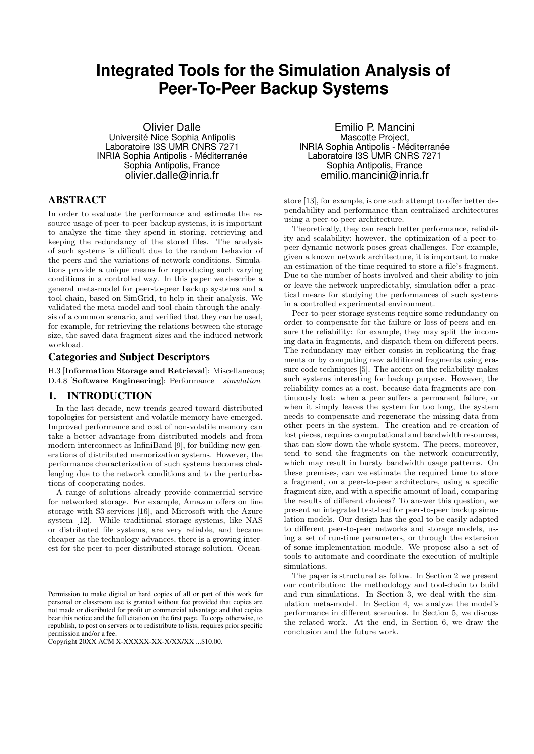# **Integrated Tools for the Simulation Analysis of Peer-To-Peer Backup Systems**

Olivier Dalle Université Nice Sophia Antipolis Laboratoire I3S UMR CNRS 7271 INRIA Sophia Antipolis - Méditerranée Sophia Antipolis, France olivier.dalle@inria.fr

### ABSTRACT

In order to evaluate the performance and estimate the resource usage of peer-to-peer backup systems, it is important to analyze the time they spend in storing, retrieving and keeping the redundancy of the stored files. The analysis of such systems is difficult due to the random behavior of the peers and the variations of network conditions. Simulations provide a unique means for reproducing such varying conditions in a controlled way. In this paper we describe a general meta-model for peer-to-peer backup systems and a tool-chain, based on SimGrid, to help in their analysis. We validated the meta-model and tool-chain through the analysis of a common scenario, and verified that they can be used, for example, for retrieving the relations between the storage size, the saved data fragment sizes and the induced network workload.

#### Categories and Subject Descriptors

H.3 [Information Storage and Retrieval]: Miscellaneous; D.4.8 [Software Engineering]: Performance—simulation

#### 1. INTRODUCTION

In the last decade, new trends geared toward distributed topologies for persistent and volatile memory have emerged. Improved performance and cost of non-volatile memory can take a better advantage from distributed models and from modern interconnect as InfiniBand [9], for building new generations of distributed memorization systems. However, the performance characterization of such systems becomes challenging due to the network conditions and to the perturbations of cooperating nodes.

A range of solutions already provide commercial service for networked storage. For example, Amazon offers on line storage with S3 services [16], and Microsoft with the Azure system [12]. While traditional storage systems, like NAS or distributed file systems, are very reliable, and became cheaper as the technology advances, there is a growing interest for the peer-to-peer distributed storage solution. Ocean-

Emilio P. Mancini Mascotte Project, INRIA Sophia Antipolis - Méditerranée Laboratoire I3S UMR CNRS 7271 Sophia Antipolis, France emilio.mancini@inria.fr

store [13], for example, is one such attempt to offer better dependability and performance than centralized architectures using a peer-to-peer architecture.

Theoretically, they can reach better performance, reliability and scalability; however, the optimization of a peer-topeer dynamic network poses great challenges. For example, given a known network architecture, it is important to make an estimation of the time required to store a file's fragment. Due to the number of hosts involved and their ability to join or leave the network unpredictably, simulation offer a practical means for studying the performances of such systems in a controlled experimental environment.

Peer-to-peer storage systems require some redundancy on order to compensate for the failure or loss of peers and ensure the reliability: for example, they may split the incoming data in fragments, and dispatch them on different peers. The redundancy may either consist in replicating the fragments or by computing new additional fragments using erasure code techniques [5]. The accent on the reliability makes such systems interesting for backup purpose. However, the reliability comes at a cost, because data fragments are continuously lost: when a peer suffers a permanent failure, or when it simply leaves the system for too long, the system needs to compensate and regenerate the missing data from other peers in the system. The creation and re-creation of lost pieces, requires computational and bandwidth resources, that can slow down the whole system. The peers, moreover, tend to send the fragments on the network concurrently, which may result in bursty bandwidth usage patterns. On these premises, can we estimate the required time to store a fragment, on a peer-to-peer architecture, using a specific fragment size, and with a specific amount of load, comparing the results of different choices? To answer this question, we present an integrated test-bed for peer-to-peer backup simulation models. Our design has the goal to be easily adapted to different peer-to-peer networks and storage models, using a set of run-time parameters, or through the extension of some implementation module. We propose also a set of tools to automate and coordinate the execution of multiple simulations.

The paper is structured as follow. In Section 2 we present our contribution: the methodology and tool-chain to build and run simulations. In Section 3, we deal with the simulation meta-model. In Section 4, we analyze the model's performance in different scenarios. In Section 5, we discuss the related work. At the end, in Section 6, we draw the conclusion and the future work.

Permission to make digital or hard copies of all or part of this work for personal or classroom use is granted without fee provided that copies are not made or distributed for profit or commercial advantage and that copies bear this notice and the full citation on the first page. To copy otherwise, to republish, to post on servers or to redistribute to lists, requires prior specific permission and/or a fee.

Copyright 20XX ACM X-XXXXX-XX-X/XX/XX ...\$10.00.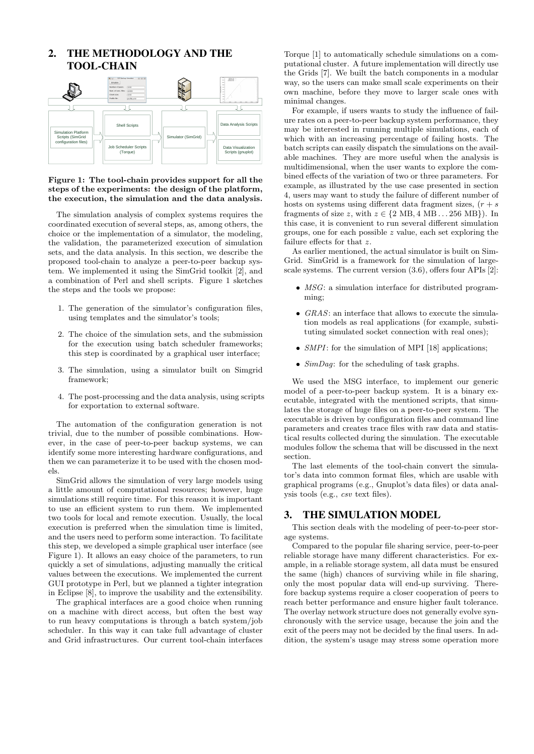## 2. THE METHODOLOGY AND THE TOOL-CHAIN



#### Figure 1: The tool-chain provides support for all the steps of the experiments: the design of the platform, the execution, the simulation and the data analysis.

The simulation analysis of complex systems requires the coordinated execution of several steps, as, among others, the choice or the implementation of a simulator, the modeling, the validation, the parameterized execution of simulation sets, and the data analysis. In this section, we describe the proposed tool-chain to analyze a peer-to-peer backup system. We implemented it using the SimGrid toolkit [2], and a combination of Perl and shell scripts. Figure 1 sketches the steps and the tools we propose:

- 1. The generation of the simulator's configuration files, using templates and the simulator's tools;
- 2. The choice of the simulation sets, and the submission for the execution using batch scheduler frameworks; this step is coordinated by a graphical user interface;
- 3. The simulation, using a simulator built on Simgrid framework;
- 4. The post-processing and the data analysis, using scripts for exportation to external software.

The automation of the configuration generation is not trivial, due to the number of possible combinations. However, in the case of peer-to-peer backup systems, we can identify some more interesting hardware configurations, and then we can parameterize it to be used with the chosen models.

SimGrid allows the simulation of very large models using a little amount of computational resources; however, huge simulations still require time. For this reason it is important to use an efficient system to run them. We implemented two tools for local and remote execution. Usually, the local execution is preferred when the simulation time is limited, and the users need to perform some interaction. To facilitate this step, we developed a simple graphical user interface (see Figure 1). It allows an easy choice of the parameters, to run quickly a set of simulations, adjusting manually the critical values between the executions. We implemented the current GUI prototype in Perl, but we planned a tighter integration in Eclipse [8], to improve the usability and the extensibility.

The graphical interfaces are a good choice when running on a machine with direct access, but often the best way to run heavy computations is through a batch system/job scheduler. In this way it can take full advantage of cluster and Grid infrastructures. Our current tool-chain interfaces

Torque [1] to automatically schedule simulations on a computational cluster. A future implementation will directly use the Grids [7]. We built the batch components in a modular way, so the users can make small scale experiments on their own machine, before they move to larger scale ones with minimal changes.

For example, if users wants to study the influence of failure rates on a peer-to-peer backup system performance, they may be interested in running multiple simulations, each of which with an increasing percentage of failing hosts. The batch scripts can easily dispatch the simulations on the available machines. They are more useful when the analysis is multidimensional, when the user wants to explore the combined effects of the variation of two or three parameters. For example, as illustrated by the use case presented in section 4, users may want to study the failure of different number of hosts on systems using different data fragment sizes,  $(r + s)$ fragments of size z, with  $z \in \{2 \text{ MB}, 4 \text{ MB}, \dots 256 \text{ MB}\}\)$ . In this case, it is convenient to run several different simulation groups, one for each possible z value, each set exploring the failure effects for that z.

As earlier mentioned, the actual simulator is built on Sim-Grid. SimGrid is a framework for the simulation of largescale systems. The current version (3.6), offers four APIs [2]:

- *MSG*: a simulation interface for distributed programming;
- GRAS: an interface that allows to execute the simulation models as real applications (for example, substituting simulated socket connection with real ones);
- *SMPI*: for the simulation of MPI [18] applications;
- $SimDag$ : for the scheduling of task graphs.

We used the MSG interface, to implement our generic model of a peer-to-peer backup system. It is a binary executable, integrated with the mentioned scripts, that simulates the storage of huge files on a peer-to-peer system. The executable is driven by configuration files and command line parameters and creates trace files with raw data and statistical results collected during the simulation. The executable modules follow the schema that will be discussed in the next section.

The last elements of the tool-chain convert the simulator's data into common format files, which are usable with graphical programs (e.g., Gnuplot's data files) or data analysis tools (e.g., csv text files).

### 3. THE SIMULATION MODEL

This section deals with the modeling of peer-to-peer storage systems.

Compared to the popular file sharing service, peer-to-peer reliable storage have many different characteristics. For example, in a reliable storage system, all data must be ensured the same (high) chances of surviving while in file sharing, only the most popular data will end-up surviving. Therefore backup systems require a closer cooperation of peers to reach better performance and ensure higher fault tolerance. The overlay network structure does not generally evolve synchronously with the service usage, because the join and the exit of the peers may not be decided by the final users. In addition, the system's usage may stress some operation more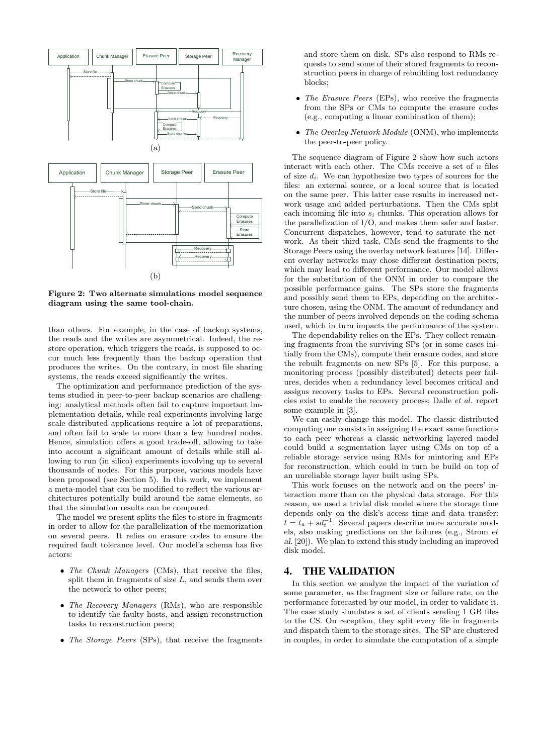

Figure 2: Two alternate simulations model sequence diagram using the same tool-chain.

than others. For example, in the case of backup systems, the reads and the writes are asymmetrical. Indeed, the restore operation, which triggers the reads, is supposed to occur much less frequently than the backup operation that produces the writes. On the contrary, in most file sharing systems, the reads exceed significantly the writes.

The optimization and performance prediction of the systems studied in peer-to-peer backup scenarios are challenging: analytical methods often fail to capture important implementation details, while real experiments involving large scale distributed applications require a lot of preparations, and often fail to scale to more than a few hundred nodes. Hence, simulation offers a good trade-off, allowing to take into account a significant amount of details while still allowing to run (in silico) experiments involving up to several thousands of nodes. For this purpose, various models have been proposed (see Section 5). In this work, we implement a meta-model that can be modified to reflect the various architectures potentially build around the same elements, so that the simulation results can be compared.

The model we present splits the files to store in fragments in order to allow for the parallelization of the memorization on several peers. It relies on erasure codes to ensure the required fault tolerance level. Our model's schema has five actors:

- The Chunk Managers (CMs), that receive the files, split them in fragments of size  $L$ , and sends them over the network to other peers;
- The Recovery Managers (RMs), who are responsible to identify the faulty hosts, and assign reconstruction tasks to reconstruction peers;
- The Storage Peers (SPs), that receive the fragments

and store them on disk. SPs also respond to RMs requests to send some of their stored fragments to reconstruction peers in charge of rebuilding lost redundancy blocks;

- The Erasure Peers (EPs), who receive the fragments from the SPs or CMs to compute the erasure codes (e.g., computing a linear combination of them);
- The Overlay Network Module (ONM), who implements the peer-to-peer policy.

The sequence diagram of Figure 2 show how such actors interact with each other. The CMs receive a set of  $n$  files of size  $d_i$ . We can hypothesize two types of sources for the files: an external source, or a local source that is located on the same peer. This latter case results in increased network usage and added perturbations. Then the CMs split each incoming file into  $s_i$  chunks. This operation allows for the parallelization of I/O, and makes them safer and faster. Concurrent dispatches, however, tend to saturate the network. As their third task, CMs send the fragments to the Storage Peers using the overlay network features [14]. Different overlay networks may chose different destination peers, which may lead to different performance. Our model allows for the substitution of the ONM in order to compare the possible performance gains. The SPs store the fragments and possibly send them to EPs, depending on the architecture chosen, using the ONM. The amount of redundancy and the number of peers involved depends on the coding schema used, which in turn impacts the performance of the system.

The dependability relies on the EPs. They collect remaining fragments from the surviving SPs (or in some cases initially from the CMs), compute their erasure codes, and store the rebuilt fragments on new SPs [5]. For this purpose, a monitoring process (possibly distributed) detects peer failures, decides when a redundancy level becomes critical and assigns recovery tasks to EPs. Several reconstruction policies exist to enable the recovery process; Dalle et al. report some example in [3].

We can easily change this model. The classic distributed computing one consists in assigning the exact same functions to each peer whereas a classic networking layered model could build a segmentation layer using CMs on top of a reliable storage service using RMs for mintoring and EPs for reconstruction, which could in turn be build on top of an unreliable storage layer built using SPs.

This work focuses on the network and on the peers' interaction more than on the physical data storage. For this reason, we used a trivial disk model where the storage time depends only on the disk's access time and data transfer:  $t = t_a + s d_t^{-1}$ . Several papers describe more accurate models, also making predictions on the failures (e.g., Strom et al. [20]). We plan to extend this study including an improved disk model.

#### 4. THE VALIDATION

In this section we analyze the impact of the variation of some parameter, as the fragment size or failure rate, on the performance forecasted by our model, in order to validate it. The case study simulates a set of clients sending 1 GB files to the CS. On reception, they split every file in fragments and dispatch them to the storage sites. The SP are clustered in couples, in order to simulate the computation of a simple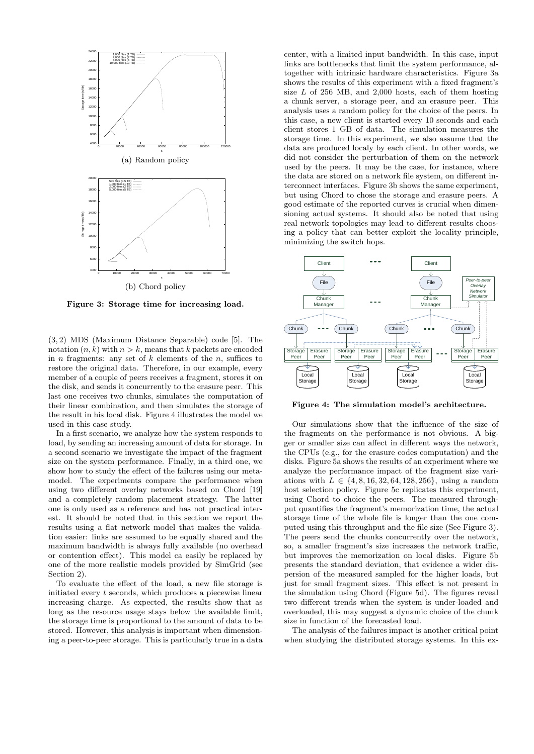

Figure 3: Storage time for increasing load.

(3, 2) MDS (Maximum Distance Separable) code [5]. The notation  $(n, k)$  with  $n > k$ , means that k packets are encoded in *n* fragments: any set of  $k$  elements of the *n*, suffices to restore the original data. Therefore, in our example, every member of a couple of peers receives a fragment, stores it on the disk, and sends it concurrently to the erasure peer. This last one receives two chunks, simulates the computation of their linear combination, and then simulates the storage of the result in his local disk. Figure 4 illustrates the model we used in this case study.

In a first scenario, we analyze how the system responds to load, by sending an increasing amount of data for storage. In a second scenario we investigate the impact of the fragment size on the system performance. Finally, in a third one, we show how to study the effect of the failures using our metamodel. The experiments compare the performance when using two different overlay networks based on Chord [19] and a completely random placement strategy. The latter one is only used as a reference and has not practical interest. It should be noted that in this section we report the results using a flat network model that makes the validation easier: links are assumed to be equally shared and the maximum bandwidth is always fully available (no overhead or contention effect). This model ca easily be replaced by one of the more realistic models provided by SimGrid (see Section 2).

To evaluate the effect of the load, a new file storage is initiated every  $t$  seconds, which produces a piecewise linear increasing charge. As expected, the results show that as long as the resource usage stays below the available limit, the storage time is proportional to the amount of data to be stored. However, this analysis is important when dimensioning a peer-to-peer storage. This is particularly true in a data

center, with a limited input bandwidth. In this case, input links are bottlenecks that limit the system performance, altogether with intrinsic hardware characteristics. Figure 3a shows the results of this experiment with a fixed fragment's size  $L$  of 256 MB, and 2,000 hosts, each of them hosting a chunk server, a storage peer, and an erasure peer. This analysis uses a random policy for the choice of the peers. In this case, a new client is started every 10 seconds and each client stores 1 GB of data. The simulation measures the storage time. In this experiment, we also assume that the data are produced localy by each client. In other words, we did not consider the perturbation of them on the network used by the peers. It may be the case, for instance, where the data are stored on a network file system, on different interconnect interfaces. Figure 3b shows the same experiment, but using Chord to chose the storage and erasure peers. A good estimate of the reported curves is crucial when dimensioning actual systems. It should also be noted that using real network topologies may lead to different results choosing a policy that can better exploit the locality principle, minimizing the switch hops.



Figure 4: The simulation model's architecture.

Our simulations show that the influence of the size of the fragments on the performance is not obvious. A bigger or smaller size can affect in different ways the network, the CPUs (e.g., for the erasure codes computation) and the disks. Figure 5a shows the results of an experiment where we analyze the performance impact of the fragment size variations with  $L \in \{4, 8, 16, 32, 64, 128, 256\}$ , using a random host selection policy. Figure 5c replicates this experiment, using Chord to choice the peers. The measured throughput quantifies the fragment's memorization time, the actual storage time of the whole file is longer than the one computed using this throughput and the file size (See Figure 3). The peers send the chunks concurrently over the network, so, a smaller fragment's size increases the network traffic, but improves the memorization on local disks. Figure 5b presents the standard deviation, that evidence a wider dispersion of the measured sampled for the higher loads, but just for small fragment sizes. This effect is not present in the simulation using Chord (Figure 5d). The figures reveal two different trends when the system is under-loaded and overloaded, this may suggest a dynamic choice of the chunk size in function of the forecasted load.

The analysis of the failures impact is another critical point when studying the distributed storage systems. In this ex-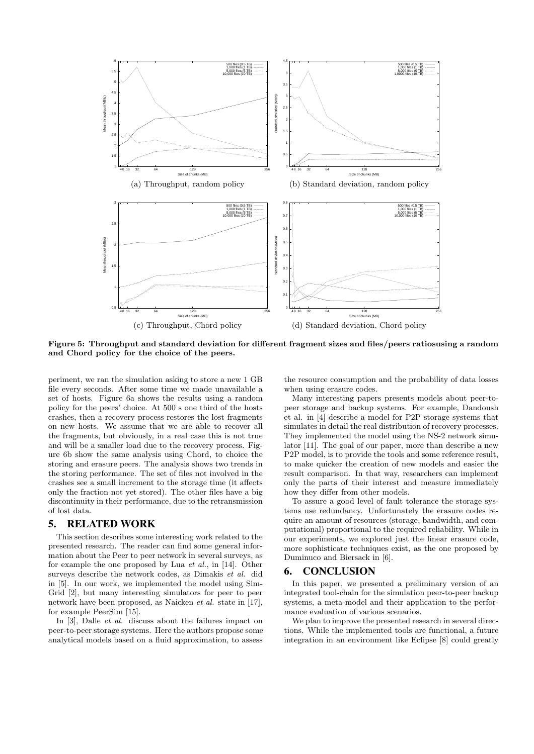

Figure 5: Throughput and standard deviation for different fragment sizes and files/peers ratiosusing a random and Chord policy for the choice of the peers.

periment, we ran the simulation asking to store a new 1 GB file every seconds. After some time we made unavailable a set of hosts. Figure 6a shows the results using a random policy for the peers' choice. At 500 s one third of the hosts crashes, then a recovery process restores the lost fragments on new hosts. We assume that we are able to recover all the fragments, but obviously, in a real case this is not true and will be a smaller load due to the recovery process. Figure 6b show the same analysis using Chord, to choice the storing and erasure peers. The analysis shows two trends in the storing performance. The set of files not involved in the crashes see a small increment to the storage time (it affects only the fraction not yet stored). The other files have a big discontinuity in their performance, due to the retransmission of lost data.

#### 5. RELATED WORK

This section describes some interesting work related to the presented research. The reader can find some general information about the Peer to peer network in several surveys, as for example the one proposed by Lua et al., in [14]. Other surveys describe the network codes, as Dimakis et al. did in [5]. In our work, we implemented the model using Sim-Grid [2], but many interesting simulators for peer to peer network have been proposed, as Naicken et al. state in [17], for example PeerSim [15].

In [3], Dalle *et al.* discuss about the failures impact on peer-to-peer storage systems. Here the authors propose some analytical models based on a fluid approximation, to assess

the resource consumption and the probability of data losses when using erasure codes.

Many interesting papers presents models about peer-topeer storage and backup systems. For example, Dandoush et al. in [4] describe a model for P2P storage systems that simulates in detail the real distribution of recovery processes. They implemented the model using the NS-2 network simulator [11]. The goal of our paper, more than describe a new P2P model, is to provide the tools and some reference result, to make quicker the creation of new models and easier the result comparison. In that way, researchers can implement only the parts of their interest and measure immediately how they differ from other models.

To assure a good level of fault tolerance the storage systems use redundancy. Unfortunately the erasure codes require an amount of resources (storage, bandwidth, and computational) proportional to the required reliability. While in our experiments, we explored just the linear erasure code, more sophisticate techniques exist, as the one proposed by Duminuco and Biersack in [6].

#### 6. CONCLUSION

In this paper, we presented a preliminary version of an integrated tool-chain for the simulation peer-to-peer backup systems, a meta-model and their application to the performance evaluation of various scenarios.

We plan to improve the presented research in several directions. While the implemented tools are functional, a future integration in an environment like Eclipse [8] could greatly